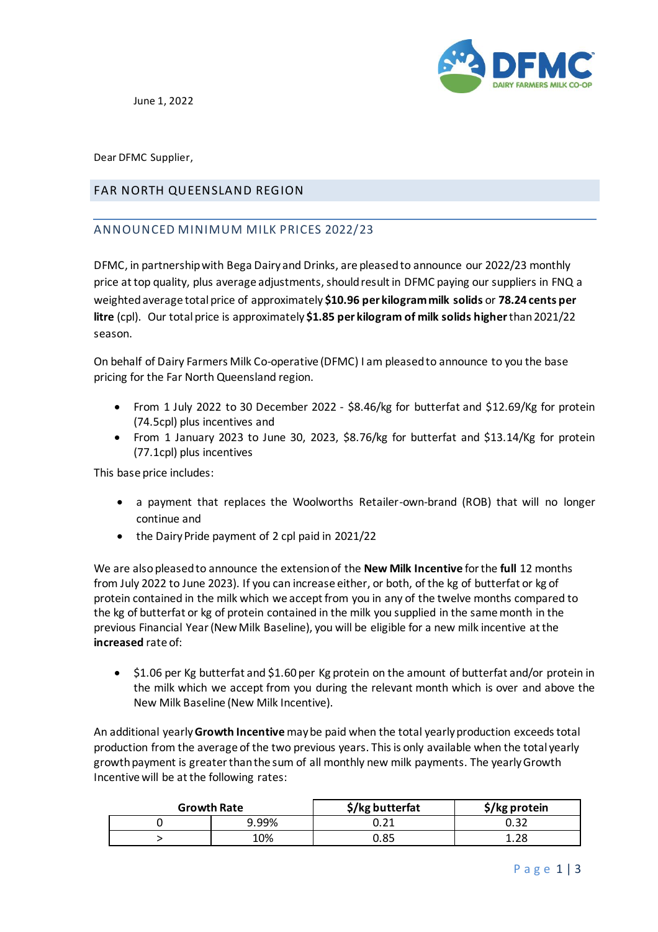

June 1, 2022

Dear DFMC Supplier,

## FAR NORTH QUEENSLAND REGION

## ANNOUNCED MINIMUM MILK PRICES 2022/23

DFMC, in partnership with Bega Dairy and Drinks, are pleased to announce our 2022/23 monthly price at top quality, plus average adjustments, should result in DFMC paying our suppliers in FNQ a weighted average total price of approximately **\$10.96 per kilogram milk solids** or **78.24 cents per litre** (cpl). Our total price is approximately **\$1.85 per kilogram of milk solids higher**than 2021/22 season.

On behalf of Dairy Farmers Milk Co-operative (DFMC) I am pleased to announce to you the base pricing for the Far North Queensland region.

- From 1 July 2022 to 30 December 2022 \$8.46/kg for butterfat and \$12.69/Kg for protein (74.5cpl) plus incentives and
- From 1 January 2023 to June 30, 2023, \$8.76/kg for butterfat and \$13.14/Kg for protein (77.1cpl) plus incentives

This base price includes:

- a payment that replaces the Woolworths Retailer-own-brand (ROB) that will no longer continue and
- the Dairy Pride payment of 2 cpl paid in 2021/22

We are also pleased to announce the extensionof the **New Milk Incentive** for the **full** 12 months from July 2022 to June 2023). If you can increase either, or both, of the kg of butterfat or kg of protein contained in the milk which we accept from you in any of the twelve months compared to the kg of butterfat or kg of protein contained in the milk you supplied in the same month in the previous Financial Year (New Milk Baseline), you will be eligible for a new milk incentive at the **increased** rate of:

• \$1.06 per Kg butterfat and \$1.60 per Kg protein on the amount of butterfat and/or protein in the milk which we accept from you during the relevant month which is over and above the New Milk Baseline (New Milk Incentive).

An additional yearly **Growth Incentive** may be paid when the total yearly production exceeds total production from the average of the two previous years. This is only available when the total yearly growth payment is greater than the sum of all monthly new milk payments. The yearly Growth Incentive will be at the following rates:

| <b>Growth Rate</b> |       | \$/kg butterfat           | \$/kg protein |
|--------------------|-------|---------------------------|---------------|
|                    | 9.99% | $\cup \cdot \subset \bot$ |               |
|                    | 10%   | 0.85                      | ን ር           |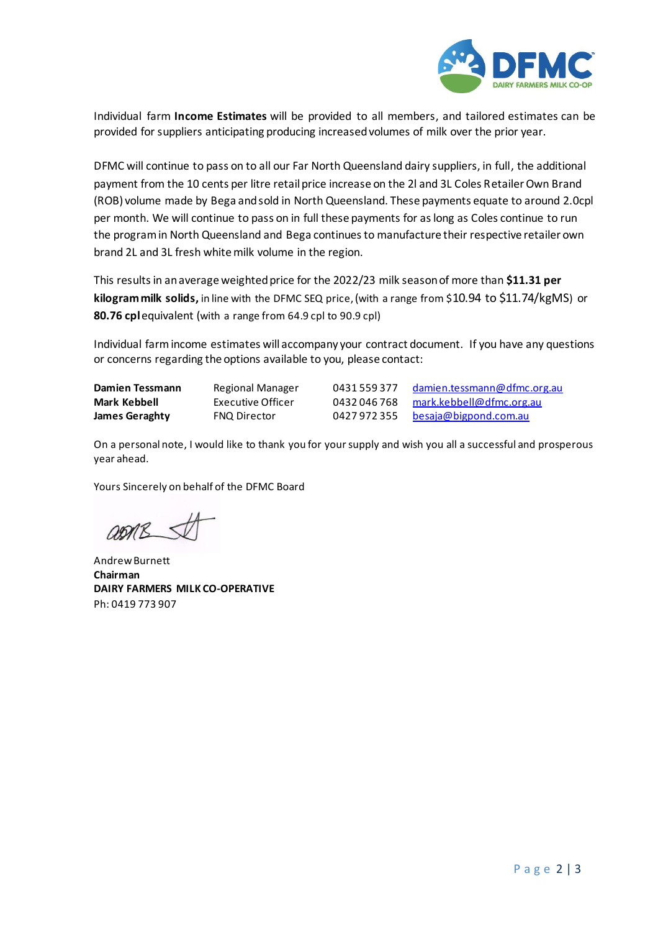

Individual farm **Income Estimates** will be provided to all members, and tailored estimates can be provided for suppliers anticipating producing increased volumes of milk over the prior year.

DFMC will continue to pass on to all our Far North Queensland dairy suppliers, in full, the additional payment from the 10 cents per litre retail price increase on the 2l and 3L Coles Retailer Own Brand (ROB) volume made by Bega and sold in North Queensland. These payments equate to around 2.0cpl per month. We will continue to pass on in full these payments for as long as Coles continue to run the program in North Queensland and Bega continues to manufacture their respective retailer own brand 2L and 3L fresh white milk volume in the region.

This results in an average weighted price for the 2022/23 milk season of more than **\$11.31 per kilogram milk solids,** in line with the DFMC SEQ price,(with a range from \$10.94 to \$11.74/kgMS) or **80.76 cpl**equivalent (with a range from 64.9 cpl to 90.9 cpl)

Individual farm income estimates will accompany your contract document. If you have any questions or concerns regarding the options available to you, please contact:

**Damien Tessmann** Regional Manager 0431 559 377 [damien.tessmann@dfmc.org.au](mailto:damien.tessmann@dfmc.org.au) **Mark Kebbell** Executive Officer 19432 046 768 [mark.kebbell@dfmc.org.au](mailto:mark.kebbell@dfmc.org.au)<br> **James Geraghty** FNQ Director 19427 972 355 besaja@bigpond.com.au **James Geraghty** FNQ Director **0427 972 355** [besaja@bigpond.com.au](mailto:besaja@bigpond.com.au)

On a personal note, I would like to thank you for your supply and wish you all a successful and prosperous year ahead.

Yours Sincerely on behalf of the DFMC Board

Andrew Burnett **Chairman DAIRY FARMERS MILK CO-OPERATIVE** Ph: 0419 773 907